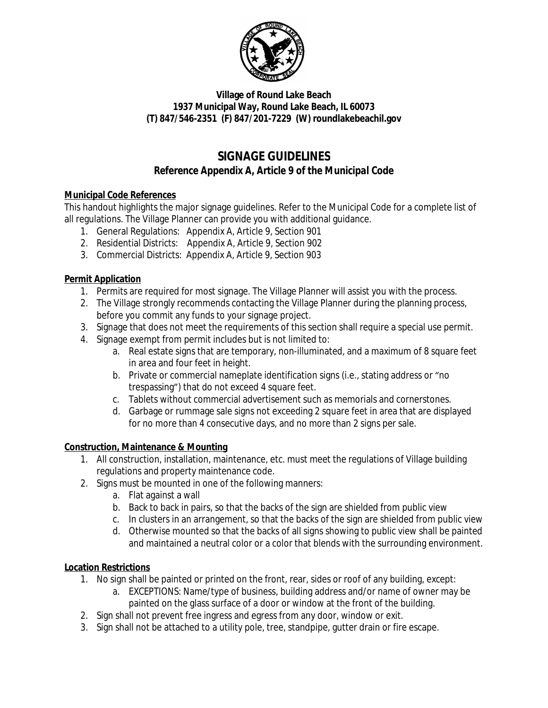

### **Village of Round Lake Beach 1937 Municipal Way, Round Lake Beach, IL 60073 (T) 847/546-2351 (F) 847/201-7229 (W) roundlakebeachil.gov**

# **SIGNAGE GUIDELINES** *Reference Appendix A, Article 9 of the Municipal Code*

### **Municipal Code References**

This handout highlights the major signage guidelines. Refer to the Municipal Code for a complete list of all regulations. The Village Planner can provide you with additional guidance.

- 1. General Regulations: Appendix A, Article 9, Section 901
- 2. Residential Districts: Appendix A, Article 9, Section 902
- 3. Commercial Districts: Appendix A, Article 9, Section 903

### **Permit Application**

- 1. Permits are required for most signage. The Village Planner will assist you with the process.
- 2. The Village strongly recommends contacting the Village Planner during the planning process, before you commit any funds to your signage project.
- 3. Signage that does not meet the requirements of this section shall require a special use permit.
- 4. Signage exempt from permit includes but is not limited to:
	- a. Real estate signs that are temporary, non-illuminated, and a maximum of 8 square feet in area and four feet in height.
	- b. Private or commercial nameplate identification signs (i.e., stating address or "no trespassing") that do not exceed 4 square feet.
	- c. Tablets without commercial advertisement such as memorials and cornerstones.
	- d. Garbage or rummage sale signs not exceeding 2 square feet in area that are displayed for no more than 4 consecutive days, and no more than 2 signs per sale.

# **Construction, Maintenance & Mounting**

- 1. All construction, installation, maintenance, etc. must meet the regulations of Village building regulations and property maintenance code.
- 2. Signs must be mounted in one of the following manners:
	- a. Flat against a wall
	- b. Back to back in pairs, so that the backs of the sign are shielded from public view
	- c. In clusters in an arrangement, so that the backs of the sign are shielded from public view
	- d. Otherwise mounted so that the backs of all signs showing to public view shall be painted and maintained a neutral color or a color that blends with the surrounding environment.

# **Location Restrictions**

- 1. No sign shall be painted or printed on the front, rear, sides or roof of any building, except:
	- a. EXCEPTIONS: Name/type of business, building address and/or name of owner may be painted on the glass surface of a door or window at the front of the building.
- 2. Sign shall not prevent free ingress and egress from any door, window or exit.
- 3. Sign shall not be attached to a utility pole, tree, standpipe, gutter drain or fire escape.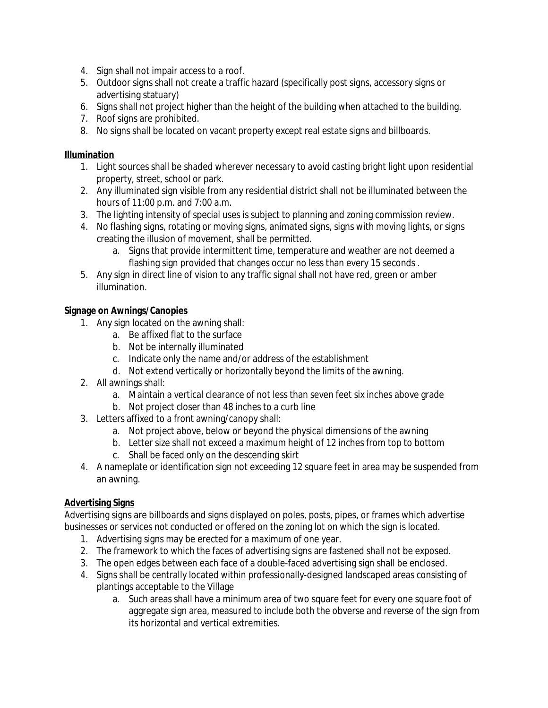- 4. Sign shall not impair access to a roof.
- 5. Outdoor signs shall not create a traffic hazard (specifically post signs, accessory signs or advertising statuary)
- 6. Signs shall not project higher than the height of the building when attached to the building.
- 7. Roof signs are prohibited.
- 8. No signs shall be located on vacant property except real estate signs and billboards.

#### **Illumination**

- 1. Light sources shall be shaded wherever necessary to avoid casting bright light upon residential property, street, school or park.
- 2. Any illuminated sign visible from any residential district shall not be illuminated between the hours of 11:00 p.m. and 7:00 a.m.
- 3. The lighting intensity of special uses is subject to planning and zoning commission review.
- 4. No flashing signs, rotating or moving signs, animated signs, signs with moving lights, or signs creating the illusion of movement, shall be permitted.
	- a. Signs that provide intermittent time, temperature and weather are not deemed a flashing sign provided that changes occur no less than every 15 seconds .
- 5. Any sign in direct line of vision to any traffic signal shall not have red, green or amber illumination.

### **Signage on Awnings/Canopies**

- 1. Any sign located on the awning shall:
	- a. Be affixed flat to the surface
	- b. Not be internally illuminated
	- c. Indicate only the name and/or address of the establishment
	- d. Not extend vertically or horizontally beyond the limits of the awning.
- 2. All awnings shall:
	- a. Maintain a vertical clearance of not less than seven feet six inches above grade
	- b. Not project closer than 48 inches to a curb line
- 3. Letters affixed to a front awning/canopy shall:
	- a. Not project above, below or beyond the physical dimensions of the awning
	- b. Letter size shall not exceed a maximum height of 12 inches from top to bottom
	- c. Shall be faced only on the descending skirt
- 4. A nameplate or identification sign not exceeding 12 square feet in area may be suspended from an awning.

# **Advertising Signs**

Advertising signs are billboards and signs displayed on poles, posts, pipes, or frames which advertise businesses or services not conducted or offered on the zoning lot on which the sign is located.

- 1. Advertising signs may be erected for a maximum of one year.
- 2. The framework to which the faces of advertising signs are fastened shall not be exposed.
- 3. The open edges between each face of a double-faced advertising sign shall be enclosed.
- 4. Signs shall be centrally located within professionally-designed landscaped areas consisting of plantings acceptable to the Village
	- a. Such areas shall have a minimum area of two square feet for every one square foot of aggregate sign area, measured to include both the obverse and reverse of the sign from its horizontal and vertical extremities.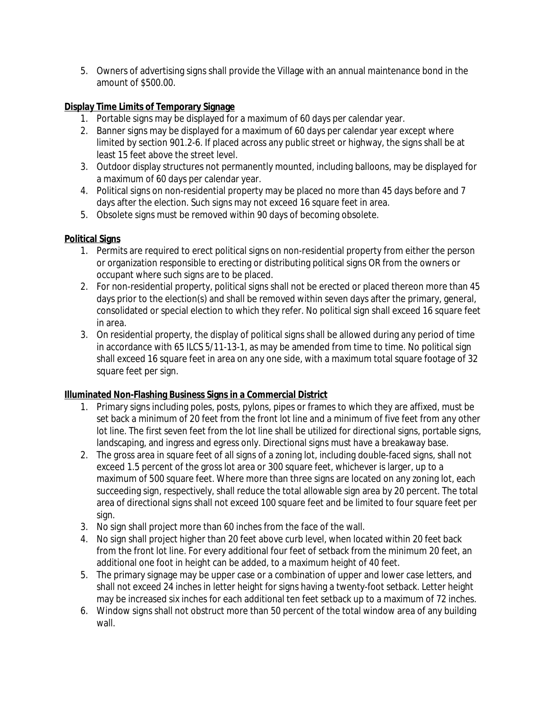5. Owners of advertising signs shall provide the Village with an annual maintenance bond in the amount of \$500.00.

#### **Display Time Limits of Temporary Signage**

- 1. Portable signs may be displayed for a maximum of 60 days per calendar year.
- 2. Banner signs may be displayed for a maximum of 60 days per calendar year except where limited by section 901.2-6. If placed across any public street or highway, the signs shall be at least 15 feet above the street level.
- 3. Outdoor display structures not permanently mounted, including balloons, may be displayed for a maximum of 60 days per calendar year.
- 4. Political signs on non-residential property may be placed no more than 45 days before and 7 days after the election. Such signs may not exceed 16 square feet in area.
- 5. Obsolete signs must be removed within 90 days of becoming obsolete.

#### **Political Signs**

- 1. Permits are required to erect political signs on non-residential property from either the person or organization responsible to erecting or distributing political signs OR from the owners or occupant where such signs are to be placed.
- 2. For non-residential property, political signs shall not be erected or placed thereon more than 45 days prior to the election(s) and shall be removed within seven days after the primary, general, consolidated or special election to which they refer. No political sign shall exceed 16 square feet in area.
- 3. On residential property, the display of political signs shall be allowed during any period of time in accordance with 65 ILCS 5/11-13-1, as may be amended from time to time. No political sign shall exceed 16 square feet in area on any one side, with a maximum total square footage of 32 square feet per sign.

### **Illuminated Non-Flashing Business Signs in a Commercial District**

- 1. Primary signs including poles, posts, pylons, pipes or frames to which they are affixed, must be set back a minimum of 20 feet from the front lot line and a minimum of five feet from any other lot line. The first seven feet from the lot line shall be utilized for directional signs, portable signs, landscaping, and ingress and egress only. Directional signs must have a breakaway base.
- 2. The gross area in square feet of all signs of a zoning lot, including double-faced signs, shall not exceed 1.5 percent of the gross lot area or 300 square feet, whichever is larger, up to a maximum of 500 square feet. Where more than three signs are located on any zoning lot, each succeeding sign, respectively, shall reduce the total allowable sign area by 20 percent. The total area of directional signs shall not exceed 100 square feet and be limited to four square feet per sign.
- 3. No sign shall project more than 60 inches from the face of the wall.
- 4. No sign shall project higher than 20 feet above curb level, when located within 20 feet back from the front lot line. For every additional four feet of setback from the minimum 20 feet, an additional one foot in height can be added, to a maximum height of 40 feet.
- 5. The primary signage may be upper case or a combination of upper and lower case letters, and shall not exceed 24 inches in letter height for signs having a twenty-foot setback. Letter height may be increased six inches for each additional ten feet setback up to a maximum of 72 inches.
- 6. Window signs shall not obstruct more than 50 percent of the total window area of any building wall.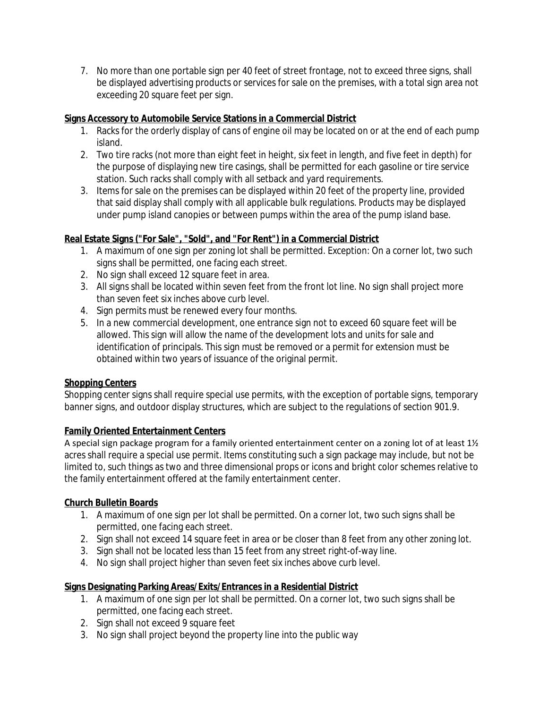7. No more than one portable sign per 40 feet of street frontage, not to exceed three signs, shall be displayed advertising products or services for sale on the premises, with a total sign area not exceeding 20 square feet per sign.

### **Signs Accessory to Automobile Service Stations in a Commercial District**

- 1. Racks for the orderly display of cans of engine oil may be located on or at the end of each pump island.
- 2. Two tire racks (not more than eight feet in height, six feet in length, and five feet in depth) for the purpose of displaying new tire casings, shall be permitted for each gasoline or tire service station. Such racks shall comply with all setback and yard requirements.
- 3. Items for sale on the premises can be displayed within 20 feet of the property line, provided that said display shall comply with all applicable bulk regulations. Products may be displayed under pump island canopies or between pumps within the area of the pump island base.

# **Real Estate Signs ("For Sale", "Sold", and "For Rent") in a Commercial District**

- 1. A maximum of one sign per zoning lot shall be permitted. Exception: On a corner lot, two such signs shall be permitted, one facing each street.
- 2. No sign shall exceed 12 square feet in area.
- 3. All signs shall be located within seven feet from the front lot line. No sign shall project more than seven feet six inches above curb level.
- 4. Sign permits must be renewed every four months.
- 5. In a new commercial development, one entrance sign not to exceed 60 square feet will be allowed. This sign will allow the name of the development lots and units for sale and identification of principals. This sign must be removed or a permit for extension must be obtained within two years of issuance of the original permit.

# **Shopping Centers**

Shopping center signs shall require special use permits, with the exception of portable signs, temporary banner signs, and outdoor display structures, which are subject to the regulations of section 901.9.

# **Family Oriented Entertainment Centers**

A special sign package program for a family oriented entertainment center on a zoning lot of at least 1½ acres shall require a special use permit. Items constituting such a sign package may include, but not be limited to, such things as two and three dimensional props or icons and bright color schemes relative to the family entertainment offered at the family entertainment center.

# **Church Bulletin Boards**

- 1. A maximum of one sign per lot shall be permitted. On a corner lot, two such signs shall be permitted, one facing each street.
- 2. Sign shall not exceed 14 square feet in area or be closer than 8 feet from any other zoning lot.
- 3. Sign shall not be located less than 15 feet from any street right-of-way line.
- 4. No sign shall project higher than seven feet six inches above curb level.

# **Signs Designating Parking Areas/Exits/Entrances in a Residential District**

- 1. A maximum of one sign per lot shall be permitted. On a corner lot, two such signs shall be permitted, one facing each street.
- 2. Sign shall not exceed 9 square feet
- 3. No sign shall project beyond the property line into the public way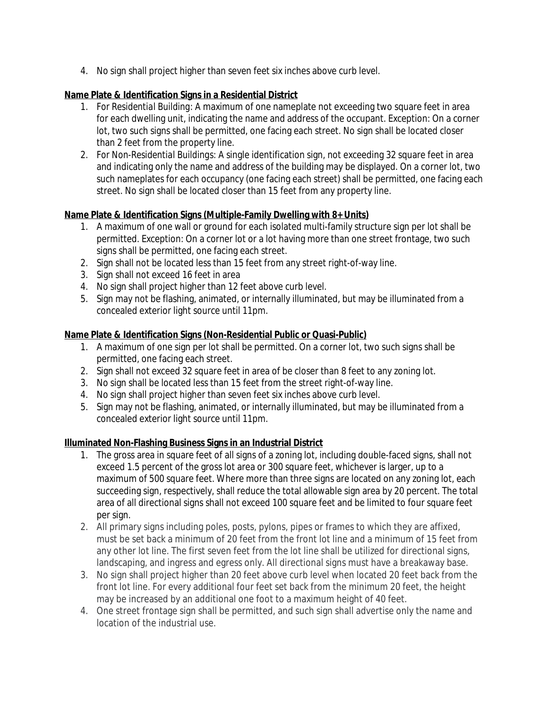4. No sign shall project higher than seven feet six inches above curb level.

### **Name Plate & Identification Signs in a Residential District**

- 1. *For Residential Building:* A maximum of one nameplate not exceeding two square feet in area for each dwelling unit, indicating the name and address of the occupant. Exception: On a corner lot, two such signs shall be permitted, one facing each street. No sign shall be located closer than 2 feet from the property line.
- 2. *For Non-Residential Buildings: A* single identification sign, not exceeding 32 square feet in area and indicating only the name and address of the building may be displayed. On a corner lot, two such nameplates for each occupancy (one facing each street) shall be permitted, one facing each street. No sign shall be located closer than 15 feet from any property line.

### **Name Plate & Identification Signs (Multiple-Family Dwelling with 8+ Units)**

- 1. A maximum of one wall or ground for each isolated multi-family structure sign per lot shall be permitted. Exception: On a corner lot or a lot having more than one street frontage, two such signs shall be permitted, one facing each street.
- 2. Sign shall not be located less than 15 feet from any street right-of-way line.
- 3. Sign shall not exceed 16 feet in area
- 4. No sign shall project higher than 12 feet above curb level.
- 5. Sign may not be flashing, animated, or internally illuminated, but may be illuminated from a concealed exterior light source until 11pm.

### **Name Plate & Identification Signs (Non-Residential Public or Quasi-Public)**

- 1. A maximum of one sign per lot shall be permitted. On a corner lot, two such signs shall be permitted, one facing each street.
- 2. Sign shall not exceed 32 square feet in area of be closer than 8 feet to any zoning lot.
- 3. No sign shall be located less than 15 feet from the street right-of-way line.
- 4. No sign shall project higher than seven feet six inches above curb level.
- 5. Sign may not be flashing, animated, or internally illuminated, but may be illuminated from a concealed exterior light source until 11pm.

### **Illuminated Non-Flashing Business Signs in an Industrial District**

- 1. The gross area in square feet of all signs of a zoning lot, including double-faced signs, shall not exceed 1.5 percent of the gross lot area or 300 square feet, whichever is larger, up to a maximum of 500 square feet. Where more than three signs are located on any zoning lot, each succeeding sign, respectively, shall reduce the total allowable sign area by 20 percent. The total area of all directional signs shall not exceed 100 square feet and be limited to four square feet per sign.
- 2. All primary signs including poles, posts, pylons, pipes or frames to which they are affixed, must be set back a minimum of 20 feet from the front lot line and a minimum of 15 feet from any other lot line. The first seven feet from the lot line shall be utilized for directional signs, landscaping, and ingress and egress only. All directional signs must have a breakaway base.
- 3. No sign shall project higher than 20 feet above curb level when located 20 feet back from the front lot line. For every additional four feet set back from the minimum 20 feet, the height may be increased by an additional one foot to a maximum height of 40 feet.
- 4. One street frontage sign shall be permitted, and such sign shall advertise only the name and location of the industrial use.